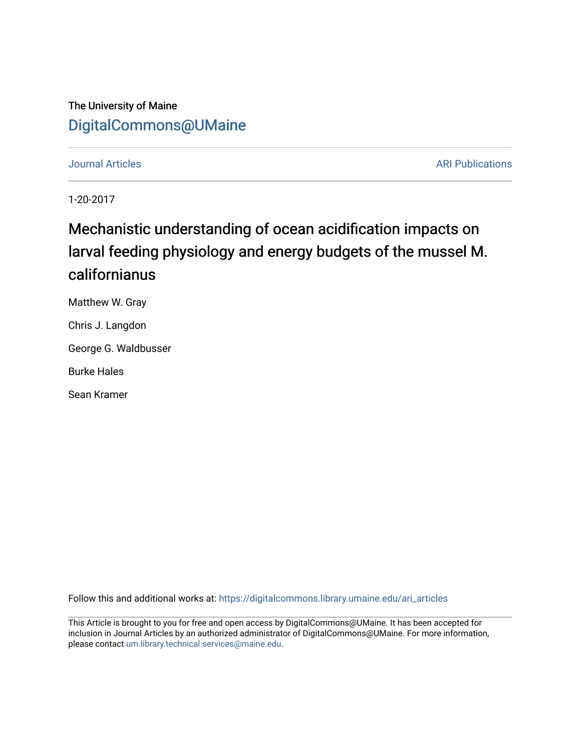## The University of Maine [DigitalCommons@UMaine](https://digitalcommons.library.umaine.edu/)

## **Journal Articles ARI Publications ARI Publications**

1-20-2017

# Mechanistic understanding of ocean acidification impacts on larval feeding physiology and energy budgets of the mussel M. californianus

Matthew W. Gray

Chris J. Langdon

George G. Waldbusser

Burke Hales

Sean Kramer

Follow this and additional works at: [https://digitalcommons.library.umaine.edu/ari\\_articles](https://digitalcommons.library.umaine.edu/ari_articles?utm_source=digitalcommons.library.umaine.edu%2Fari_articles%2F28&utm_medium=PDF&utm_campaign=PDFCoverPages)

This Article is brought to you for free and open access by DigitalCommons@UMaine. It has been accepted for inclusion in Journal Articles by an authorized administrator of DigitalCommons@UMaine. For more information, please contact [um.library.technical.services@maine.edu.](mailto:um.library.technical.services@maine.edu)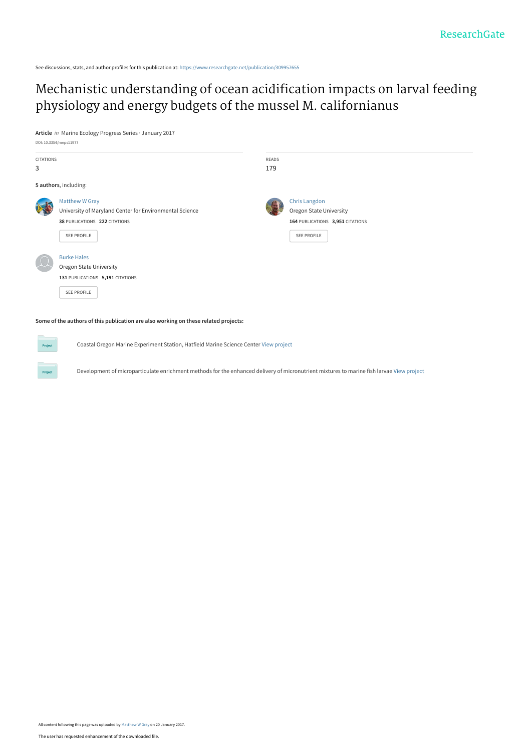See discussions, stats, and author profiles for this publication at: [https://www.researchgate.net/publication/309957655](https://www.researchgate.net/publication/309957655_Mechanistic_understanding_of_ocean_acidification_impacts_on_larval_feeding_physiology_and_energy_budgets_of_the_mussel_M_californianus?enrichId=rgreq-5d1a93be90f814b367229dcb1e3cf47e-XXX&enrichSource=Y292ZXJQYWdlOzMwOTk1NzY1NTtBUzo0NTI2MjEzNzU5Mzg1NjBAMTQ4NDkyNDc1Mzk5Nw%3D%3D&el=1_x_2&_esc=publicationCoverPdf)

## [Mechanistic understanding of ocean acidification impacts on larval feeding](https://www.researchgate.net/publication/309957655_Mechanistic_understanding_of_ocean_acidification_impacts_on_larval_feeding_physiology_and_energy_budgets_of_the_mussel_M_californianus?enrichId=rgreq-5d1a93be90f814b367229dcb1e3cf47e-XXX&enrichSource=Y292ZXJQYWdlOzMwOTk1NzY1NTtBUzo0NTI2MjEzNzU5Mzg1NjBAMTQ4NDkyNDc1Mzk5Nw%3D%3D&el=1_x_3&_esc=publicationCoverPdf) physiology and energy budgets of the mussel M. californianus

**Article** in Marine Ecology Progress Series · January 2017 DOI: 10.3354/meps11977

| CITATIONS<br>3 |                                                                                                                                  | <b>READS</b><br>179 |                                                                                                                  |
|----------------|----------------------------------------------------------------------------------------------------------------------------------|---------------------|------------------------------------------------------------------------------------------------------------------|
|                | 5 authors, including:                                                                                                            |                     |                                                                                                                  |
|                | Matthew W Gray<br>University of Maryland Center for Environmental Science<br>38 PUBLICATIONS 222 CITATIONS<br><b>SEE PROFILE</b> |                     | <b>Chris Langdon</b><br><b>Oregon State University</b><br>164 PUBLICATIONS 3,951 CITATIONS<br><b>SEE PROFILE</b> |
|                | <b>Burke Hales</b><br><b>Oregon State University</b><br>131 PUBLICATIONS 5,191 CITATIONS<br>SEE PROFILE                          |                     |                                                                                                                  |

**Some of the authors of this publication are also working on these related projects:**

Coastal Oregon Marine Experiment Station, Hatfield Marine Science Center [View project](https://www.researchgate.net/project/Coastal-Oregon-Marine-Experiment-Station-Hatfield-Marine-Science-Center?enrichId=rgreq-5d1a93be90f814b367229dcb1e3cf47e-XXX&enrichSource=Y292ZXJQYWdlOzMwOTk1NzY1NTtBUzo0NTI2MjEzNzU5Mzg1NjBAMTQ4NDkyNDc1Mzk5Nw%3D%3D&el=1_x_9&_esc=publicationCoverPdf)

Development of microparticulate enrichment methods for the enhanced delivery of micronutrient mixtures to marine fish larvae [View project](https://www.researchgate.net/project/Development-of-microparticulate-enrichment-methods-for-the-enhanced-delivery-of-micronutrient-mixtures-to-marine-fish-larvae?enrichId=rgreq-5d1a93be90f814b367229dcb1e3cf47e-XXX&enrichSource=Y292ZXJQYWdlOzMwOTk1NzY1NTtBUzo0NTI2MjEzNzU5Mzg1NjBAMTQ4NDkyNDc1Mzk5Nw%3D%3D&el=1_x_9&_esc=publicationCoverPdf)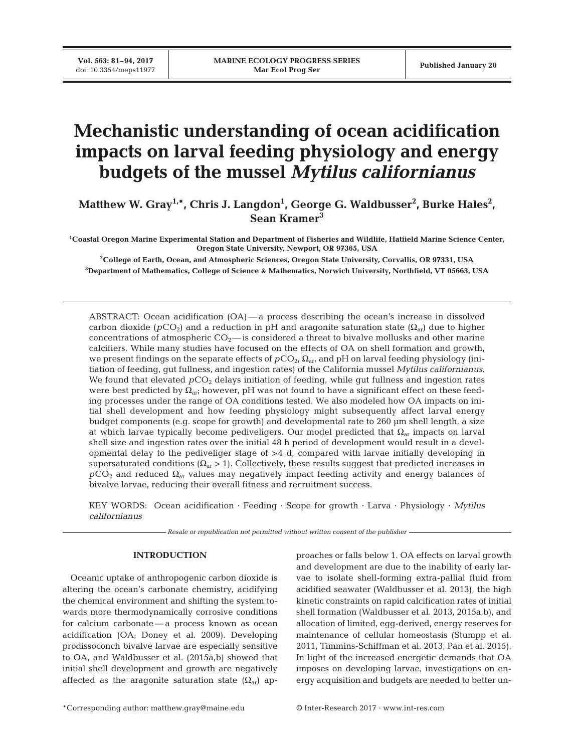## **Mechanistic understanding of ocean acidification impacts on larval feeding physiology and energy budgets of the mussel** *Mytilus californianus*

Matthew W. Gray<sup>1,\*</sup>, Chris J. Langdon<sup>1</sup>, George G. Waldbusser<sup>2</sup>, Burke Hales<sup>2</sup>, **Sean Kramer3**

**1 Coastal Oregon Marine Experimental Station and Department of Fisheries and Wildlife, Hatfield Marine Science Center, Oregon State University, Newport, OR 97365, USA**

**2 College of Earth, Ocean, and Atmospheric Sciences, Oregon State University, Corvallis, OR 97331, USA 3 Department of Mathematics, College of Science & Mathematics, Norwich University, Northfield, VT 05663, USA**

ABSTRACT: Ocean acidification (OA) — a process describing the ocean's increase in dissolved carbon dioxide  $(pCO_2)$  and a reduction in pH and aragonite saturation state  $(\Omega_{ar})$  due to higher concentrations of atmospheric  $CO<sub>2</sub>$ — is considered a threat to bivalve mollusks and other marine calcifiers. While many studies have focused on the effects of OA on shell formation and growth, we present findings on the separate effects of  $pCO<sub>2</sub>$ ,  $\Omega<sub>ar</sub>$  and pH on larval feeding physiology (initiation of feeding, gut fullness, and ingestion rates) of the California mussel *Mytilus californianus*. We found that elevated  $pCO<sub>2</sub>$  delays initiation of feeding, while gut fullness and ingestion rates were best predicted by  $\Omega_{\text{ari}}$  however, pH was not found to have a significant effect on these feeding processes under the range of OA conditions tested. We also modeled how OA impacts on initial shell development and how feeding physiology might subsequently affect larval energy budget components (e.g. scope for growth) and developmental rate to 260 μm shell length, a size at which larvae typically become pediveligers. Our model predicted that  $\Omega_{ar}$  impacts on larval shell size and ingestion rates over the initial 48 h period of development would result in a developmental delay to the pediveliger stage of >4 d, compared with larvae initially developing in supersaturated conditions  $(\Omega_{ar} > 1)$ . Collectively, these results suggest that predicted increases in  $pCO_2$  and reduced  $\Omega_{ar}$  values may negatively impact feeding activity and energy balances of bivalve larvae, reducing their overall fitness and recruitment success.

KEY WORDS: Ocean acidification · Feeding · Scope for growth · Larva · Physiology · *Mytilus californianus*

*Resale or republication not permitted without written consent of the publisher*

## **INTRODUCTION**

Oceanic uptake of anthropogenic carbon dioxide is altering the ocean's carbonate chemistry, acidifying the chemical environment and shifting the system towards more thermodynamically corrosive conditions for calcium carbonate — a process known as ocean acidification (OA; Doney et al. 2009). Developing prodissoconch bivalve larvae are especially sensitive to OA, and Waldbusser et al. (2015a,b) showed that initial shell development and growth are negatively affected as the aragonite saturation state  $(\Omega_{ar})$  approaches or falls below 1. OA effects on larval growth and development are due to the inability of early larvae to isolate shell-forming extra-pallial fluid from acidified seawater (Waldbusser et al. 2013), the high kinetic constraints on rapid calcification rates of initial shell formation (Waldbusser et al. 2013, 2015a,b), and allocation of limited, egg-derived, energy reserves for maintenance of cellular homeostasis (Stumpp et al. 2011, Timmins-Schiffman et al. 2013, Pan et al. 2015). In light of the increased energetic demands that OA imposes on developing larvae, investigations on energy acquisition and budgets are needed to better un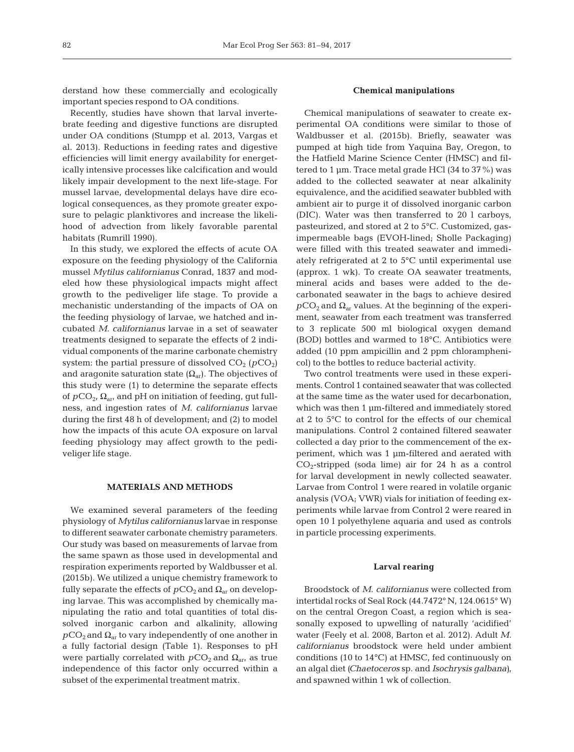derstand how these commercially and ecologically important species respond to OA conditions.

Recently, studies have shown that larval invertebrate feeding and digestive functions are disrupted under OA conditions (Stumpp et al. 2013, Vargas et al. 2013). Reductions in feeding rates and digestive efficiencies will limit energy availability for energetically intensive processes like calcification and would likely impair development to the next life-stage. For mussel larvae, developmental delays have dire ecological consequences, as they promote greater exposure to pelagic planktivores and increase the likelihood of advection from likely favorable parental habitats (Rumrill 1990).

In this study, we explored the effects of acute OA exposure on the feeding physiology of the California mussel *Mytilus californianus* Conrad, 1837 and modeled how these physiological impacts might affect growth to the pediveliger life stage. To provide a mechanistic understanding of the impacts of OA on the feeding physiology of larvae, we hatched and incubated *M. californianus* larvae in a set of seawater treatments designed to separate the effects of 2 individual components of the marine carbonate chemistry system: the partial pressure of dissolved  $CO<sub>2</sub>$   $(pCO<sub>2</sub>)$ and aragonite saturation state  $(\Omega_{ar})$ . The objectives of this study were (1) to determine the separate effects of  $pCO_2$ ,  $\Omega_{\text{ar}}$ , and pH on initiation of feeding, gut fullness, and ingestion rates of *M. californianus* larvae during the first 48 h of development; and (2) to model how the impacts of this acute OA exposure on larval feeding physiology may affect growth to the pediveliger life stage.

### **MATERIALS AND METHODS**

We examined several parameters of the feeding physiology of *Mytilus californianus* larvae in response to different seawater carbonate chemistry parameters. Our study was based on measurements of larvae from the same spawn as those used in developmental and respiration experiments reported by Waldbusser et al. (2015b). We utilized a unique chemistry framework to fully separate the effects of  $pCO_2$  and  $\Omega_{ar}$  on developing larvae. This was accomplished by chemically manipulating the ratio and total quantities of total dissolved inorganic carbon and alkalinity, allowing  $pCO_2$  and  $\Omega_{ar}$  to vary independently of one another in a fully factorial design (Table 1). Responses to pH were partially correlated with  $pCO_2$  and  $\Omega_{\text{arr}}$  as true independence of this factor only occurred within a subset of the experimental treatment matrix.

#### **Chemical manipulations**

Chemical manipulations of seawater to create experimental OA conditions were similar to those of Waldbusser et al. (2015b). Briefly, seawater was pumped at high tide from Yaquina Bay, Oregon, to the Hatfield Marine Science Center (HMSC) and filtered to 1 μm. Trace metal grade HCl (34 to 37%) was added to the collected seawater at near alkalinity equivalence, and the acidified seawater bubbled with ambient air to purge it of dissolved inorganic carbon (DIC). Water was then transferred to 20 l carboys, pasteurized, and stored at 2 to 5°C. Customized, gasimpermeable bags (EVOH-lined; Sholle Packaging) were filled with this treated seawater and immediately refrigerated at 2 to 5°C until experimental use (approx. 1 wk). To create OA seawater treatments, mineral acids and bases were added to the decarbonated seawater in the bags to achieve desired  $pCO<sub>2</sub>$  and  $\Omega<sub>ar</sub>$  values. At the beginning of the experiment, seawater from each treatment was transferred to 3 replicate 500 ml biological oxygen demand (BOD) bottles and warmed to 18°C. Antibiotics were added (10 ppm ampicillin and 2 ppm chloramphenicol) to the bottles to reduce bacterial activity.

Two control treatments were used in these experiments. Control 1 contained seawater that was collected at the same time as the water used for decarbonation, which was then 1 μm-filtered and immediately stored at 2 to 5°C to control for the effects of our chemical manipulations. Control 2 contained filtered seawater collected a day prior to the commencement of the experiment, which was 1 μm-filtered and aerated with  $CO<sub>2</sub>$ -stripped (soda lime) air for 24 h as a control for larval development in newly collected seawater. Larvae from Control 1 were reared in volatile organic analysis (VOA; VWR) vials for initiation of feeding experiments while larvae from Control 2 were reared in open 10 l polyethylene aquaria and used as controls in particle processing experiments.

#### **Larval rearing**

Broodstock of *M. californianus* were collected from intertidal rocks of Seal Rock (44.7472° N, 124.0615° W) on the central Oregon Coast, a region which is seasonally exposed to upwelling of naturally 'acidified' water (Feely et al. 2008, Barton et al. 2012). Adult *M. californianus* broodstock were held under ambient conditions (10 to 14°C) at HMSC, fed continuously on an algal diet *(Chaetoceros* sp. and *Isochrysis galbana)*, and spawned within 1 wk of collection.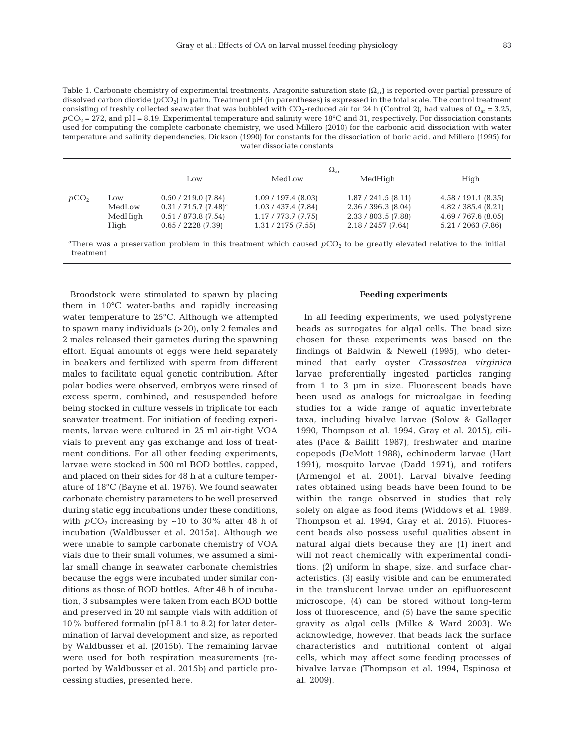Table 1. Carbonate chemistry of experimental treatments. Aragonite saturation state  $(\Omega_{\rm at})$  is reported over partial pressure of dissolved carbon dioxide (*p*CO<sub>2</sub>) in μatm. Treatment pH (in parentheses) is expressed in the total scale. The control treatment consisting of freshly collected seawater that was bubbled with CO<sub>2</sub>-reduced air for 24 h (Control 2), had values of  $\Omega_{ar} = 3.25$ ,  $pCO<sub>2</sub> = 272$ , and pH = 8.19. Experimental temperature and salinity were 18°C and 31, respectively. For dissociation constants used for computing the complete carbonate chemistry, we used Millero (2010) for the carbonic acid dissociation with water temperature and salinity dependencies, Dickson (1990) for constants for the dissociation of boric acid, and Millero (1995) for water dissociate constants

|                  |         | $\Omega_{\rm ar}$       |                     |                       |                     |  |  |  |
|------------------|---------|-------------------------|---------------------|-----------------------|---------------------|--|--|--|
|                  |         | Low                     | MedLow              | MedHigh               | High                |  |  |  |
| pCO <sub>2</sub> | Low     | 0.50 / 219.0 (7.84)     | 1.09 / 197.4 (8.03) | 1.87 / 241.5 (8.11)   | 4.58 / 191.1 (8.35) |  |  |  |
|                  | MedLow  | $0.31 / 715.7 (7.48)^a$ | 1.03 / 437.4 (7.84) | 2.36 / 396.3 (8.04)   | 4.82 / 385.4 (8.21) |  |  |  |
|                  | MedHigh | 0.51 / 873.8 (7.54)     | 1.17/773.7(7.75)    | $2.33 / 803.5$ (7.88) | 4.69 / 767.6 (8.05) |  |  |  |
|                  | High    | 0.65 / 2228 (7.39)      | 1.31 / 2175 (7.55)  | 2.18 / 2457 (7.64)    | 5.21 / 2063 (7.86)  |  |  |  |
|                  |         |                         |                     |                       |                     |  |  |  |

<sup>a</sup>There was a preservation problem in this treatment which caused  $pCO<sub>2</sub>$  to be greatly elevated relative to the initial treatment

Broodstock were stimulated to spawn by placing them in 10°C water-baths and rapidly increasing water temperature to 25°C. Although we attempted to spawn many individuals (>20), only 2 females and 2 males released their gametes during the spawning effort. Equal amounts of eggs were held separately in beakers and fertilized with sperm from different males to facilitate equal genetic contribution. After polar bodies were observed, embryos were rinsed of excess sperm, combined, and resuspended before being stocked in culture vessels in triplicate for each seawater treatment. For initiation of feeding experiments, larvae were cultured in 25 ml air-tight VOA vials to prevent any gas exchange and loss of treatment conditions. For all other feeding experiments, larvae were stocked in 500 ml BOD bottles, capped, and placed on their sides for 48 h at a culture temperature of 18°C (Bayne et al. 1976). We found seawater carbonate chemistry parameters to be well preserved during static egg incubations under these conditions, with  $pCO_2$  increasing by ~10 to 30% after 48 h of incubation (Waldbusser et al. 2015a). Although we were unable to sample carbonate chemistry of VOA vials due to their small volumes, we assumed a similar small change in seawater carbonate chemistries because the eggs were incubated under similar conditions as those of BOD bottles. After 48 h of incubation, 3 subsamples were taken from each BOD bottle and preserved in 20 ml sample vials with addition of 10% buffered formalin (pH 8.1 to 8.2) for later determination of larval development and size, as reported by Waldbusser et al. (2015b). The remaining larvae were used for both respiration measurements (reported by Waldbusser et al. 2015b) and particle processing studies, presented here.

### **Feeding experiments**

In all feeding experiments, we used polystyrene beads as surrogates for algal cells. The bead size chosen for these experiments was based on the findings of Baldwin & Newell (1995), who determined that early oyster *Crassostrea virginica* larvae preferentially ingested particles ranging from 1 to 3 μm in size. Fluorescent beads have been used as analogs for microalgae in feeding studies for a wide range of aquatic invertebrate taxa, including bivalve larvae (Solow & Gallager 1990, Thompson et al. 1994, Gray et al. 2015), ciliates (Pace & Bailiff 1987), freshwater and marine copepods (DeMott 1988), echinoderm larvae (Hart 1991), mosquito larvae (Dadd 1971), and rotifers (Armengol et al. 2001). Larval bivalve feeding rates obtained using beads have been found to be within the range observed in studies that rely solely on algae as food items (Widdows et al. 1989, Thompson et al. 1994, Gray et al. 2015). Fluorescent beads also possess useful qualities absent in natural algal diets because they are (1) inert and will not react chemically with experimental conditions, (2) uniform in shape, size, and surface characteristics, (3) easily visible and can be enumerated in the translucent larvae under an epifluorescent microscope, (4) can be stored without long-term loss of fluorescence, and (5) have the same specific gravity as algal cells (Milke & Ward 2003). We acknowledge, however, that beads lack the surface characteristics and nutritional content of algal cells, which may affect some feeding processes of bivalve larvae (Thompson et al. 1994, Espinosa et al. 2009).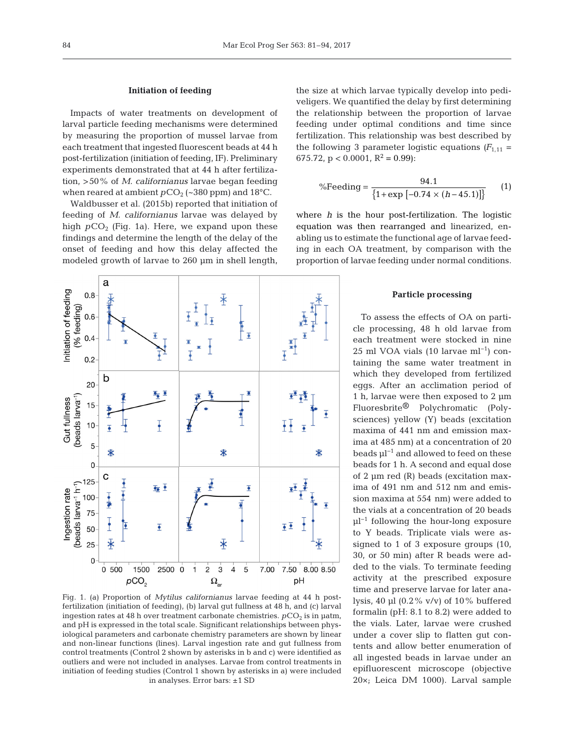### **Initiation of feeding**

Impacts of water treatments on development of larval particle feeding mechanisms were determined by measuring the proportion of mussel larvae from each treatment that ingested fluorescent beads at 44 h post-fertilization (initiation of feeding, IF). Preliminary experiments demonstrated that at 44 h after fertilization, >50% of *M. californianus* larvae began feeding when reared at ambient  $pCO_2$  (~380 ppm) and 18°C.

Waldbusser et al. (2015b) reported that initiation of feeding of *M. californianus* larvae was delayed by high  $pCO<sub>2</sub>$  (Fig. 1a). Here, we expand upon these findings and determine the length of the delay of the onset of feeding and how this delay affected the modeled growth of larvae to 260 μm in shell length,



Fig. 1. (a) Proportion of *Mytilus californianus* larvae feeding at 44 h postfertilization (initiation of feeding), (b) larval gut fullness at 48 h, and (c) larval ingestion rates at 48 h over treatment carbonate chemistries.  $pCO<sub>2</sub>$  is in  $\mu$ atm, and pH is expressed in the total scale. Significant relationships between physiological parameters and carbonate chemistry parameters are shown by linear and non-linear functions (lines). Larval ingestion rate and gut fullness from control treatments (Control 2 shown by asterisks in b and c) were identified as outliers and were not included in analyses. Larvae from control treatments in initiation of feeding studies (Control 1 shown by asterisks in a) were included in analyses. Error bars: ±1 SD

the size at which larvae typically develop into pediveligers. We quantified the delay by first determining the relationship between the proportion of larvae feeding under optimal conditions and time since fertilization. This relationship was best described by the following 3 parameter logistic equations  $(F_{1,11} =$ 675.72,  $p < 0.0001$ ,  $R^2 = 0.99$ :

%Feeding = 
$$
\frac{94.1}{\{1 + \exp[-0.74 \times (h - 45.1)]\}}
$$
 (1)

where *h* is the hour post-fertilization. The logistic equation was then rearranged and linearized, enabling us to estimate the functional age of larvae feeding in each OA treatment, by comparison with the proportion of larvae feeding under normal conditions.

#### **Particle processing**

To assess the effects of OA on particle processing, 48 h old larvae from each treatment were stocked in nine 25 ml VOA vials (10 larvae ml<sup>-1</sup>) containing the same water treatment in which they developed from fertilized eggs. After an acclimation period of 1 h, larvae were then exposed to 2 μm Fluoresbrite® Polychromatic (Polysciences) yellow (Y) beads (excitation maxima of 441 nm and emission maxima at 485 nm) at a concentration of 20 beads μl−1 and allowed to feed on these beads for 1 h. A second and equal dose of 2  $\mu$ m red (R) beads (excitation maxima of 491 nm and 512 nm and emission maxima at 554 nm) were added to the vials at a concentration of 20 beads  $μl<sup>-1</sup>$  following the hour-long exposure to Y beads. Triplicate vials were as signed to 1 of 3 exposure groups (10, 30, or 50 min) after R beads were ad ded to the vials. To terminate feeding activity at the prescribed exposure time and preserve larvae for later ana lysis, 40 μl (0.2% v/v) of 10% buffered formalin (pH: 8.1 to 8.2) were added to the vials. Later, larvae were crushed under a cover slip to flatten gut contents and allow better enumeration of all ingested beads in larvae under an epifluorescent microscope (objective 20×; Leica DM 1000). Larval sample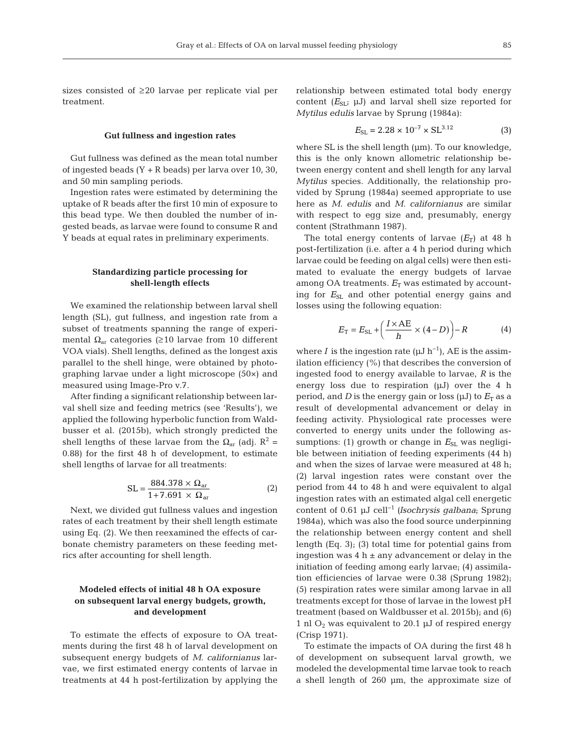sizes consisted of ≥20 larvae per replicate vial per treatment.

#### **Gut fullness and ingestion rates**

Gut fullness was defined as the mean total number of ingested beads  $(Y + R$  beads) per larva over 10, 30, and 50 min sampling periods.

Ingestion rates were estimated by determining the uptake of R beads after the first 10 min of exposure to this bead type. We then doubled the number of ingested beads, as larvae were found to consume R and Y beads at equal rates in preliminary experiments.

## **Standardizing particle processing for shell-length effects**

We examined the relationship between larval shell length (SL), gut fullness, and ingestion rate from a subset of treatments spanning the range of experimental  $Ω<sub>ar</sub>$  categories (≥10 larvae from 10 different VOA vials). Shell lengths, defined as the longest axis parallel to the shell hinge, were obtained by photographing larvae under a light microscope (50×) and measured using Image-Pro v.7.

After finding a significant relationship between larval shell size and feeding metrics (see 'Results'), we applied the following hyperbolic function from Waldbusser et al. (2015b), which strongly predicted the shell lengths of these larvae from the  $\Omega_{ar}$  (adj.  $R^2$  = 0.88) for the first 48 h of development, to estimate shell lengths of larvae for all treatments:

$$
SL = \frac{884.378 \times \Omega_{\text{ar}}}{1 + 7.691 \times \Omega_{\text{ar}}} \tag{2}
$$

Next, we divided gut fullness values and ingestion rates of each treatment by their shell length estimate using Eq. (2). We then reexamined the effects of carbonate chemistry parameters on these feeding metrics after accounting for shell length.

## **Modeled effects of initial 48 h OA exposure on subsequent larval energy budgets, growth, and development**

To estimate the effects of exposure to OA treatments during the first 48 h of larval development on subsequent energy budgets of *M. californianus* larvae, we first estimated energy contents of larvae in treatments at 44 h post-fertilization by applying the relationship between estimated total body energy content  $(E_{SL}; \mu J)$  and larval shell size reported for *Mytilus edulis* larvae by Sprung (1984a):

$$
E_{\rm SL} = 2.28 \times 10^{-7} \times \rm SL^{3.12} \tag{3}
$$

where SL is the shell length (μm). To our knowledge, this is the only known allometric relationship be tween energy content and shell length for any larval *Mytilus* species. Additionally, the relationship provided by Sprung (1984a) seemed appropriate to use here as *M. edulis* and *M. californianus* are similar with respect to egg size and, presumably, energy content (Strathmann 1987).

The total energy contents of larvae  $(E_T)$  at 48 h post-fertilization (i.e. after a 4 h period during which larvae could be feeding on algal cells) were then estimated to evaluate the energy budgets of larvae among OA treatments.  $E_T$  was estimated by accounting for  $E_{SL}$  and other potential energy gains and losses using the following equation:

$$
E_{\rm T} = E_{\rm SL} + \left(\frac{I \times \rm AE}{h} \times (4 - D)\right) - R \tag{4}
$$

where *I* is the ingestion rate ( $\mu$ J h<sup>-1</sup>), AE is the assimilation efficiency (%) that describes the conversion of ingested food to energy available to larvae, *R* is the energy loss due to respiration (μJ) over the 4 h period, and *D* is the energy gain or loss  $(\mu J)$  to  $E_T$  as a result of developmental advancement or delay in feeding activity. Physiological rate processes were converted to energy units under the following as sumptions: (1) growth or change in  $E_{SL}$  was negligible between initiation of feeding experiments (44 h) and when the sizes of larvae were measured at 48 h; (2) larval ingestion rates were constant over the period from 44 to 48 h and were equivalent to algal ingestion rates with an estimated algal cell energetic content of 0.61 μJ cell−1 *(Isochrysis galbana*; Sprung 1984a), which was also the food source underpinning the relationship between energy content and shell length (Eq. 3); (3) total time for potential gains from ingestion was  $4 h \pm any$  advancement or delay in the initiation of feeding among early larvae; (4) assimilation efficiencies of larvae were 0.38 (Sprung 1982); (5) respiration rates were similar among larvae in all treatments except for those of larvae in the lowest pH treatment (based on Waldbusser et al. 2015b); and (6) 1 nl  $O_2$  was equivalent to 20.1  $\mu$ J of respired energy (Crisp 1971).

To estimate the impacts of OA during the first 48 h of development on subsequent larval growth, we modeled the developmental time larvae took to reach a shell length of 260 μm, the approximate size of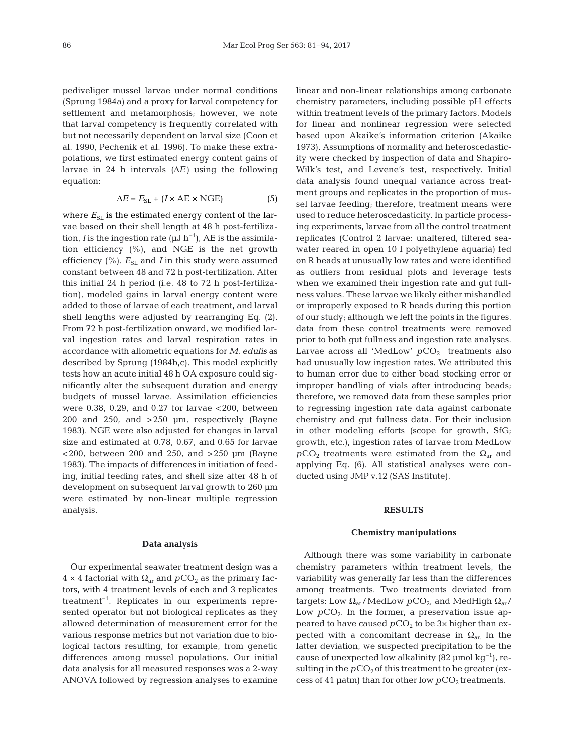pediveliger mussel larvae under normal conditions (Sprung 1984a) and a proxy for larval competency for settlement and metamorphosis; however, we note that larval competency is frequently correlated with but not necessarily dependent on larval size (Coon et al. 1990, Pechenik et al. 1996). To make these extra polations, we first estimated energy content gains of larvae in 24 h intervals (Δ*E)* using the following equation:

$$
\Delta E = E_{\rm SL} + (I \times \text{AE} \times \text{NGE}) \tag{5}
$$

where  $E_{SL}$  is the estimated energy content of the larvae based on their shell length at 48 h post-fertilization, *I* is the ingestion rate ( $\mu$ J h<sup>-1</sup>), AE is the assimilation efficiency (%), and NGE is the net growth efficiency  $(\%)$ .  $E_{SL}$  and *I* in this study were assumed constant between 48 and 72 h post-fertilization. After this initial 24 h period (i.e. 48 to 72 h post-fertilization), modeled gains in larval energy content were added to those of larvae of each treatment, and larval shell lengths were adjusted by rearranging Eq. (2). From 72 h post-fertilization onward, we modified larval ingestion rates and larval respiration rates in accordance with allometric equations for *M. edulis* as described by Sprung (1984b,c). This model explicitly tests how an acute initial 48 h OA exposure could significantly alter the subsequent duration and energy budgets of mussel larvae. Assimilation efficiencies were 0.38, 0.29, and 0.27 for larvae  $<$  200, between 200 and 250, and >250 μm, respectively (Bayne 1983). NGE were also adjusted for changes in larval size and estimated at 0.78, 0.67, and 0.65 for larvae  $<$  200, between 200 and 250, and  $>$  250 µm (Bayne 1983). The impacts of differences in initiation of feeding, initial feeding rates, and shell size after 48 h of development on subsequent larval growth to 260 μm were estimated by non-linear multiple regression analysis.

#### **Data analysis**

Our experimental seawater treatment design was a  $4 \times 4$  factorial with  $\Omega_{ar}$  and  $pCO_2$  as the primary factors, with 4 treatment levels of each and 3 replicates treatment−1. Replicates in our experiments represented operator but not biological replicates as they allowed determination of measurement error for the various response metrics but not variation due to biological factors resulting, for example, from genetic differences among mussel populations. Our initial data analysis for all measured responses was a 2-way ANOVA followed by regression analyses to examine linear and non-linear relationships among carbonate chemistry parameters, including possible pH effects within treatment levels of the primary factors. Models for linear and nonlinear regression were selected based upon Akaike's information criterion (Akaike 1973). Assumptions of normality and heteroscedasticity were checked by inspection of data and Shapiro-Wilk's test, and Levene's test, respectively. Initial data analysis found unequal variance across treatment groups and replicates in the proportion of mussel larvae feeding; therefore, treatment means were used to reduce heteroscedasticity. In particle processing experiments, larvae from all the control treatment replicates (Control 2 larvae: unaltered, filtered seawater reared in open 10 l polyethylene aquaria) fed on R beads at unusually low rates and were identified as outliers from residual plots and leverage tests when we examined their ingestion rate and gut fullness values. These larvae we likely either mishandled or improperly exposed to R beads during this portion of our study; although we left the points in the figures, data from these control treatments were removed prior to both gut fullness and ingestion rate analyses. Larvae across all 'MedLow'  $pCO<sub>2</sub>$  treatments also had unusually low ingestion rates. We attributed this to human error due to either bead stocking error or improper handling of vials after introducing beads; therefore, we removed data from these samples prior to regressing ingestion rate data against carbonate chemistry and gut fullness data. For their inclusion in other modeling efforts (scope for growth, SfG; growth, etc.), ingestion rates of larvae from MedLow  $pCO_2$  treatments were estimated from the  $\Omega_{ar}$  and applying Eq. (6). All statistical analyses were conducted using JMP v.12 (SAS Institute).

#### **RESULTS**

#### **Chemistry manipulations**

Although there was some variability in carbonate chemistry parameters within treatment levels, the variability was generally far less than the differences among treatments. Two treatments deviated from targets: Low  $\Omega_{ar}$ / MedLow  $pCO_{2}$ , and MedHigh  $\Omega_{ar}$ / Low  $pCO<sub>2</sub>$ . In the former, a preservation issue appeared to have caused  $pCO<sub>2</sub>$  to be  $3\times$  higher than expected with a concomitant decrease in  $\Omega_{\text{ar}}$ . In the latter deviation, we suspected precipitation to be the cause of unexpected low alkalinity (82 µmol kg<sup>-1</sup>), resulting in the  $pCO<sub>2</sub>$  of this treatment to be greater (excess of 41  $\mu$ atm) than for other low  $pCO_2$  treatments.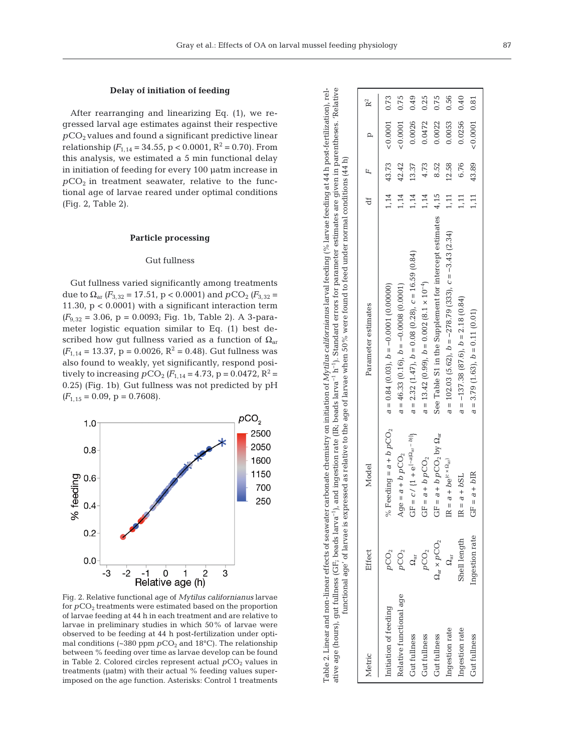## **Delay of initiation of feeding**

After rearranging and linearizing Eq. (1), we regressed larval age estimates against their respective  $pCO<sub>2</sub>$  values and found a significant predictive linear relationship  $(F_{1,14} = 34.55, p < 0.0001, R^2 = 0.70)$ . From this analysis, we estimated a 5 min functional delay in initiation of feeding for every 100 μatm increase in  $pCO<sub>2</sub>$  in treatment seawater, relative to the functional age of larvae reared under optimal conditions (Fig. 2, Table 2).

## **Particle processing**

#### Gut fullness

Gut fullness varied significantly among treatments due to  $\Omega_{\text{ar}}$  *(F*<sub>3,32</sub> = 17.51, p < 0.0001) and  $pCO_2$  *(F*<sub>3,32</sub> = 11.30, p < 0.0001) with a significant interaction term  $(F_{9,32} = 3.06, p = 0.0093;$  Fig. 1b, Table 2). A 3-parameter logistic equation similar to Eq. (1) best de scribed how gut fullness varied as a function of  $\Omega_{\text{ar}}$  $(F_{1,14} = 13.37, p = 0.0026, R^2 = 0.48)$ . Gut fullness was also found to weakly, yet significantly, respond positively to increasing  $pCO_2$  *(F*<sub>1,14</sub> = 4.73, p = 0.0472, R<sup>2</sup> = 0.25) (Fig. 1b). Gut fullness was not predicted by pH  $(F_{1,15} = 0.09, p = 0.7608).$ 



Fig. 2. Relative functional age of *Mytilus californianus* larvae for  $pCO<sub>2</sub>$  treatments were estimated based on the proportion of larvae feeding at 44 h in each treatment and are relative to larvae in preliminary studies in which 50% of larvae were observed to be feeding at 44 h post-fertilization under optimal conditions ( $\sim$ 380 ppm  $pCO_2$  and 18°C). The relationship between % feeding over time as larvae develop can be found in Table 2. Colored circles represent actual  $pCO<sub>2</sub>$  values in treatments (μatm) with their actual % feeding values superimposed on the age function. Asterisks: Control 1 treatments

|                                                                                                                                                                                                                                                                                                                                                                                                                                                                            | R <sup>2</sup>      | 0.73                                       | 0.75                                       | 0.49                                                     | 0.25                                                      | 0.75                                                        | 0.56                                                         | 0.40                                      | 0.81                                 |
|----------------------------------------------------------------------------------------------------------------------------------------------------------------------------------------------------------------------------------------------------------------------------------------------------------------------------------------------------------------------------------------------------------------------------------------------------------------------------|---------------------|--------------------------------------------|--------------------------------------------|----------------------------------------------------------|-----------------------------------------------------------|-------------------------------------------------------------|--------------------------------------------------------------|-------------------------------------------|--------------------------------------|
|                                                                                                                                                                                                                                                                                                                                                                                                                                                                            |                     |                                            |                                            |                                                          |                                                           |                                                             |                                                              |                                           |                                      |
|                                                                                                                                                                                                                                                                                                                                                                                                                                                                            | $\overline{a}$      | < 0.0001                                   | & 0.0001                                   | 0.0026                                                   | 0.0472                                                    | 0.0022                                                      | 0.0053                                                       | 0.0256                                    | < 0.0001                             |
|                                                                                                                                                                                                                                                                                                                                                                                                                                                                            | df $F$              | 43.73                                      | 42.42                                      | 13.37                                                    | 4.73                                                      | 8.52                                                        | 12.58                                                        | 6.76                                      | 43.89                                |
|                                                                                                                                                                                                                                                                                                                                                                                                                                                                            |                     | 1,14                                       | 1,14                                       | 1,14                                                     | 1,14                                                      |                                                             | 1,11                                                         | 1,11                                      | 1,11                                 |
| Table 2. Linear and non-linear effects of seawater carbonate chemistry on initiation of Mytilus californianus larval feeding (% larvae feeding at 44 h post-fertilization), rel-<br>and ingestion rate (IR, beads larva <sup>-1</sup> h <sup>-1</sup> ). Standard errors for parameter estimates are given in parentheses. 'Relative<br>functional age' of larvae is expressed as relative to the age of larvae when 50% were found to feed under normal conditions (44 h) | Parameter estimates | $a = 0.84$ (0.03), $b = -0.0001$ (0.00000) | $a = 46.33$ (0.16), $b = -0.0008$ (0.0001) | $a = 2.32$ (1.47), $b = 0.08$ (0.28), $c = 16.59$ (0.84) | $a = 13.42$ (0.99), $b = 0.002$ (8.1 × 10 <sup>-4</sup> ) | See Table S1 in the Supplement for intercept estimates 4,15 | $a = 102.03$ (5.62), $b = -278.79$ (333), $c = -3.43$ (2.34) | $a = -137.38$ (87.6), $b = 2.18$ (0.84)   | $a = 3.79$ (1.63), $b = 0.11$ (0.01) |
|                                                                                                                                                                                                                                                                                                                                                                                                                                                                            | Model               | % Feeding = $a + b$ pCO <sub>2</sub>       | Age = $a + b p CO2$                        | $GF = c / {1 + e^{[-a(\Omega_{ar} - b)]}}$               | $= a + b p CO_2$<br>5                                     | $= a + b p CO2$ by $\Omega_{ar}$<br>5                       | $\text{IR} = a + b e^{(c \times \Omega_{\text{ar}})}$        | $a + bSL$<br>$\mathbf{u}$<br>$\mathbb{E}$ | $= a + b \text{IR}$<br>5             |
|                                                                                                                                                                                                                                                                                                                                                                                                                                                                            | Effect              | $p \text{CO}_2$                            | $p \text{CO}_2$                            | $\Omega_{\text{air}}$                                    | $p \text{CO}_2$                                           | $\Omega_{\rm ar}\times p \,\rm{CO_2}$                       | $\Omega_{\text{air}}$                                        | Shell length                              | Ingestion rate                       |
| ative age (hours), gut fullness (GF; beads larva <sup>-1</sup> ),                                                                                                                                                                                                                                                                                                                                                                                                          | Metric              | Initiation of feeding                      | Relative functional age                    | Gut fullness                                             | Gut fullness                                              | Gut fullness                                                | Ingestion rate                                               | Ingestion rate                            | Gut fullness                         |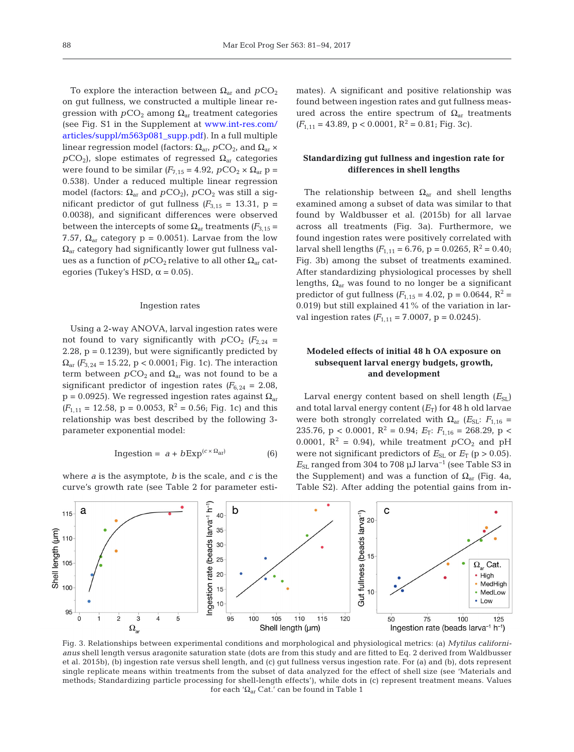To explore the interaction between  $\Omega_{\rm ar}$  and  $pCO_2$ on gut fullness, we constructed a multiple linear re gression with  $pCO_2$  among  $\Omega_{ar}$  treatment categories (see Fig. S1 in the Supplement a[t www. int-res. com/](http://www.int-res.com/articles/suppl/m563p081_supp.pdf) articles/suppl/m563p081\_supp.pdf). In a full multiple linear regression model (factors:  $\Omega_{\text{ar}}$ , *p*CO<sub>2</sub>, and  $\Omega_{\text{ar}}$  ×  $pCO<sub>2</sub>$ ), slope estimates of regressed  $\Omega<sub>ar</sub>$  categories were found to be similar  $(F_{7,15} = 4.92, pCO_2 \times \Omega_{ar} p =$ 0.538). Under a reduced multiple linear regression model (factors:  $Ω<sub>ar</sub>$  and  $pCO<sub>2</sub>$ ),  $pCO<sub>2</sub>$  was still a significant predictor of gut fullness  $(F_{3,15} = 13.31, p =$ 0.0038), and significant differences were observed between the intercepts of some  $\Omega_{\text{ar}}$  treatments  $(F_{3,15} =$ 7.57,  $\Omega_{\text{ar}}$  category p = 0.0051). Larvae from the low  $\Omega_{\rm ar}$  category had significantly lower gut fullness values as a function of  $pCO_2$  relative to all other  $\Omega_{ar}$  categories (Tukey's HSD,  $\alpha$  = 0.05).

#### Ingestion rates

Using a 2-way ANOVA, larval ingestion rates were not found to vary significantly with  $pCO_2$  ( $F_{2,24}$  = 2.28,  $p = 0.1239$ , but were significantly predicted by  $\Omega_{\text{ar}}$  *(F*<sub>3,24</sub> = 15.22, p < 0.0001; Fig. 1c). The interaction term between  $pCO_2$  and  $\Omega_{ar}$  was not found to be a significant predictor of ingestion rates  $(F_{6,24} = 2.08)$ ,  $p = 0.0925$ ). We regressed ingestion rates against  $\Omega_{\text{ar}}$  $(F_{1,11} = 12.58, p = 0.0053, R^2 = 0.56$ ; Fig. 1c) and this relationship was best described by the following 3 parameter exponential model:

$$
Ingestion = a + bExp(c \times \Omega_{\text{ar}})
$$
 (6)

where *a* is the asymptote, *b* is the scale, and *c* is the curve's growth rate (see Table 2 for parameter estimates). A significant and positive relationship was found between ingestion rates and gut fullness measured across the entire spectrum of  $Ω<sub>ar</sub>$  treatments  $(F_{1,11} = 43.89, p < 0.0001, R^2 = 0.81$ ; Fig. 3c).

## **Standardizing gut fullness and ingestion rate for differences in shell lengths**

The relationship between  $\Omega_{ar}$  and shell lengths examined among a subset of data was similar to that found by Waldbusser et al. (2015b) for all larvae across all treatments (Fig. 3a). Furthermore, we found ingestion rates were positively correlated with larval shell lengths  $(F_{1,11} = 6.76, p = 0.0265, R^2 = 0.40;$ Fig. 3b) among the subset of treatments examined. After standardizing physiological processes by shell lengths,  $\Omega_{ar}$  was found to no longer be a significant predictor of gut fullness  $(F_{1,15} = 4.02, p = 0.0644, R^2 =$ 0.019) but still explained 41% of the variation in larval ingestion rates  $(F_{1,11} = 7.0007, p = 0.0245)$ .

## **Modeled effects of initial 48 h OA exposure on subsequent larval energy budgets, growth, and development**

Larval energy content based on shell length  $(E_{SL})$ and total larval energy content  $(E_T)$  for 48 h old larvae were both strongly correlated with  $\Omega_{ar}$  (*E*<sub>SL</sub>: *F*<sub>1,16</sub> = 235.76, p < 0.0001,  $R^2 = 0.94$ ;  $E_T$ :  $F_{1,16} = 268.29$ , p < 0.0001,  $R^2 = 0.94$ ), while treatment  $pCO_2$  and pH were not significant predictors of  $E_{SL}$  or  $E_T$  (p > 0.05).  $E_{SL}$  ranged from 304 to 708  $\mu$ J larva<sup>-1</sup> (see Table S3 in the Supplement) and was a function of  $Ω<sub>ar</sub>$  (Fig. 4a, Table S2). After adding the potential gains from in-



Fig. 3. Relationships between experimental conditions and morphological and physiological metrics: (a) *Mytilus californianus* shell length versus aragonite saturation state (dots are from this study and are fitted to Eq. 2 derived from Waldbusser et al. 2015b), (b) ingestion rate versus shell length, and (c) gut fullness versus ingestion rate. For (a) and (b), dots represent single replicate means within treatments from the subset of data analyzed for the effect of shell size (see 'Materials and methods; Standardizing particle processing for shell-length effects'), while dots in (c) represent treatment means. Values for each 'Ωar Cat.' can be found in Table 1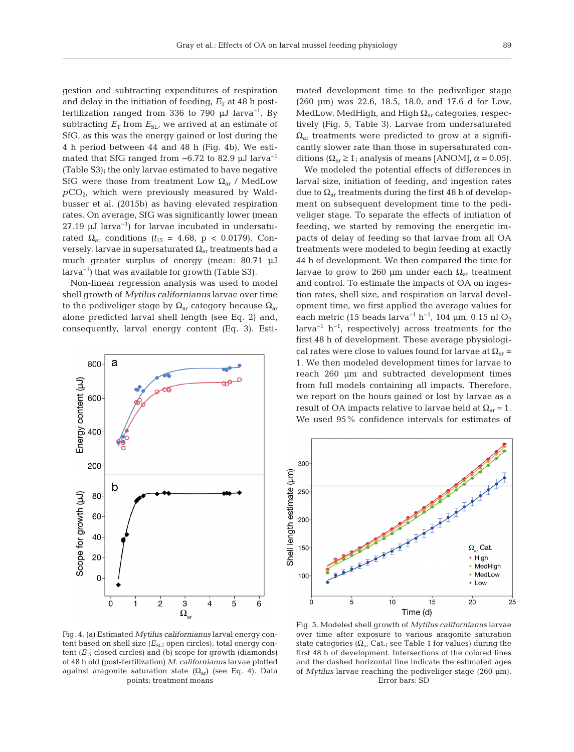gestion and subtracting expenditures of respiration and delay in the initiation of feeding,  $E_T$  at 48 h postfertilization ranged from 336 to 790  $\mu$ J larva<sup>-1</sup>. By subtracting  $E_T$  from  $E_{SL}$ , we arrived at an estimate of SfG, as this was the energy gained or lost during the 4 h period between 44 and 48 h (Fig. 4b). We estimated that SfG ranged from  $-6.72$  to 82.9 μJ larva<sup>-1</sup> (Table S3); the only larvae estimated to have negative SfG were those from treatment Low  $\Omega_{\text{ar}}$  / MedLow  $pCO<sub>2</sub>$ , which were previously measured by Waldbusser et al. (2015b) as having elevated respiration rates. On average, SfG was significantly lower (mean 27.19 μJ larva<sup>-1</sup>) for larvae incubated in undersaturated  $\Omega_{\text{ar}}$  conditions  $(t_{15} = 4.68, p < 0.0179)$ . Conversely, larvae in supersaturated  $\Omega_{ar}$  treatments had a much greater surplus of energy (mean: 80.71 μJ larva−1) that was available for growth (Table S3).

Non-linear regression analysis was used to model shell growth of *Mytilus californianus* larvae over time to the pediveliger stage by  $\Omega_{ar}$  category because  $\Omega_{ar}$ alone predicted larval shell length (see Eq. 2) and, consequently, larval energy content (Eq. 3). Esti-



mated development time to the pediveliger stage (260 μm) was 22.6, 18.5, 18.0, and 17.6 d for Low, MedLow, MedHigh, and High  $\Omega_{ar}$  categories, respectively (Fig. 5, Table 3). Larvae from undersaturated  $\Omega_{\rm ar}$  treatments were predicted to grow at a significantly slower rate than those in supersaturated conditions ( $\Omega_{\text{ar}} \geq 1$ ; analysis of means [ANOM],  $\alpha = 0.05$ ).

We modeled the potential effects of differences in larval size, initiation of feeding, and ingestion rates due to  $\Omega_{ar}$  treatments during the first 48 h of development on subsequent development time to the pediveliger stage. To separate the effects of initiation of feeding, we started by removing the energetic im pacts of delay of feeding so that larvae from all OA treatments were modeled to begin feeding at exactly 44 h of development. We then compared the time for larvae to grow to 260 μm under each  $\Omega_{\text{ar}}$  treatment and control. To estimate the impacts of OA on ingestion rates, shell size, and respiration on larval development time, we first applied the average values for each metric (15 beads larva<sup>-1</sup> h<sup>-1</sup>, 104 μm, 0.15 nl O<sub>2</sub> larva<sup>-1</sup> h<sup>-1</sup>, respectively) across treatments for the first 48 h of development. These average physiological rates were close to values found for larvae at  $\Omega_{ar}$  = 1. We then modeled development times for larvae to reach 260 μm and subtracted development times from full models containing all impacts. Therefore, we report on the hours gained or lost by larvae as a result of OA impacts relative to larvae held at  $\Omega_{\text{ar}} \approx 1$ . We used 95% confidence intervals for estimates of



Fig. 4. (a) Estimated *Mytilus californianus* larval energy content based on shell size ( $E_{SL}$ ; open circles), total energy content  $(E_T;$  closed circles) and (b) scope for growth (diamonds) of 48 h old (post-fertilization) *M. californianus* larvae plotted against aragonite saturation state ( $\Omega_{ar}$ ) (see Eq. 4). Data points: treatment means

Fig. 5. Modeled shell growth of *Mytilus californianus* larvae over time after exposure to various aragonite saturation state categories ( $\Omega_{ar}$  Cat.; see Table 1 for values) during the first 48 h of development. Intersections of the colored lines and the dashed horizontal line indicate the estimated ages of *Mytilus* larvae reaching the pediveliger stage (260 μm). Error bars: SD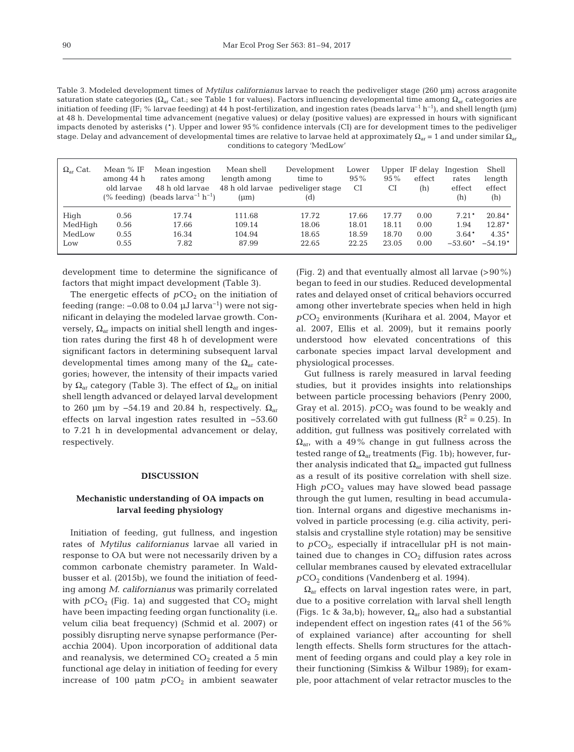Table 3. Modeled development times of *Mytilus californianus* larvae to reach the pediveliger stage (260 μm) across aragonite saturation state categories ( $Ω<sub>ar</sub> Cat.$ ; see Table 1 for values). Factors influencing developmental time among  $Ω<sub>ar</sub>$  categories are initiation of feeding (IF; % larvae feeding) at 44 h post-fertilization, and ingestion rates (beads larva−1 h−1), and shell length (μm) at 48 h. Developmental time advancement (negative values) or delay (positive values) are expressed in hours with significant impacts denoted by asterisks (\*). Upper and lower 95% confidence intervals (CI) are for development times to the pediveliger stage. Delay and advancement of developmental times are relative to larvae held at approximately  $\Omega_{ar}$  = 1 and under similar  $\Omega_{ar}$ conditions to category 'MedLow'

| $\Omega_{\rm ar}$ Cat. | Mean % IF<br>among 44 h<br>old larvae | Mean ingestion<br>rates among<br>48 h old larvae<br>(% feeding) (beads $larrow^{-1} h^{-1}$ ) | Mean shell<br>length among<br>48 h old larvae<br>$(\mu m)$ | Development<br>time to<br>pediveliger stage<br>(d) | Lower<br>$95\%$<br><b>CI</b> | Upper<br>$95\%$<br>CI | IF delay<br>effect<br>(h) | Ingestion<br>rates<br>effect<br>(h) | Shell<br>length<br>effect<br>(h) |
|------------------------|---------------------------------------|-----------------------------------------------------------------------------------------------|------------------------------------------------------------|----------------------------------------------------|------------------------------|-----------------------|---------------------------|-------------------------------------|----------------------------------|
| High                   | 0.56                                  | 17.74                                                                                         | 111.68                                                     | 17.72                                              | 17.66                        | 17.77                 | 0.00                      | $7.21*$                             | $20.84*$                         |
| MedHigh                | 0.56                                  | 17.66                                                                                         | 109.14                                                     | 18.06                                              | 18.01                        | 18.11                 | 0.00                      | 1.94                                | 12.87*                           |
| MedLow                 | 0.55                                  | 16.34                                                                                         | 104.94                                                     | 18.65                                              | 18.59                        | 18.70                 | 0.00                      | $3.64*$                             | $4.35*$                          |
| Low                    | 0.55                                  | 7.82                                                                                          | 87.99                                                      | 22.65                                              | 22.25                        | 23.05                 | 0.00                      | $-53.60*$                           | $-54.19*$                        |

development time to determine the significance of factors that might impact development (Table 3).

The energetic effects of  $pCO<sub>2</sub>$  on the initiation of feeding (range:  $-0.08$  to 0.04  $\mu$ J larva<sup>-1</sup>) were not significant in delaying the modeled larvae growth. Conversely,  $Ω<sub>ar</sub>$  impacts on initial shell length and ingestion rates during the first 48 h of development were significant factors in determining subsequent larval developmental times among many of the  $\Omega_{ar}$  categories; however, the intensity of their impacts varied by  $\Omega_{\text{ar}}$  category (Table 3). The effect of  $\Omega_{\text{ar}}$  on initial shell length advanced or delayed larval development to 260 μm by  $-54.19$  and 20.84 h, respectively.  $Ω<sub>ar</sub>$ effects on larval ingestion rates resulted in −53.60 to 7.21 h in developmental advancement or delay, respectively.

#### **DISCUSSION**

## **Mechanistic understanding of OA impacts on larval feeding physiology**

Initiation of feeding, gut fullness, and ingestion rates of *Mytilus californianus* larvae all varied in response to OA but were not necessarily driven by a common carbonate chemistry parameter. In Waldbusser et al. (2015b), we found the initiation of feeding among *M. californianus* was primarily correlated with  $pCO_2$  (Fig. 1a) and suggested that  $CO_2$  might have been impacting feeding organ functionality (i.e. velum cilia beat frequency) (Schmid et al. 2007) or possibly disrupting nerve synapse performance (Peracchia 2004). Upon incorporation of additional data and reanalysis, we determined  $CO<sub>2</sub>$  created a 5 min functional age delay in initiation of feeding for every increase of 100  $\mu$ atm  $pCO<sub>2</sub>$  in ambient seawater (Fig. 2) and that eventually almost all larvae  $(>90\%)$ began to feed in our studies. Reduced developmental rates and delayed onset of critical behaviors occurred among other invertebrate species when held in high *p*CO2 environments (Kurihara et al. 2004, Mayor et al. 2007, Ellis et al. 2009), but it remains poorly understood how elevated concentrations of this carbonate species impact larval development and physiological processes.

Gut fullness is rarely measured in larval feeding studies, but it provides insights into relationships between particle processing behaviors (Penry 2000, Gray et al. 2015).  $pCO<sub>2</sub>$  was found to be weakly and positively correlated with gut fullness  $(R^2 = 0.25)$ . In addition, gut fullness was positively correlated with  $\Omega_{\rm arr}$  with a 49% change in gut fullness across the tested range of  $\Omega_{\text{ar}}$  treatments (Fig. 1b); however, further analysis indicated that  $\Omega_{ar}$  impacted gut fullness as a result of its positive correlation with shell size. High  $pCO<sub>2</sub>$  values may have slowed bead passage through the gut lumen, resulting in bead accumulation. Internal organs and digestive mechanisms in volved in particle processing (e.g. cilia activity, peristalsis and crystalline style rotation) may be sensitive to  $pCO<sub>2</sub>$ , especially if intracellular pH is not maintained due to changes in  $CO<sub>2</sub>$  diffusion rates across cellular membranes caused by elevated extracellular *p*CO2 conditions (Vandenberg et al. 1994).

 $\Omega_{\text{ar}}$  effects on larval ingestion rates were, in part, due to a positive correlation with larval shell length (Figs. 1c & 3a,b); however,  $\Omega_{\text{ar}}$  also had a substantial independent effect on ingestion rates (41 of the 56% of explained variance) after accounting for shell length effects. Shells form structures for the attachment of feeding organs and could play a key role in their functioning (Simkiss & Wilbur 1989); for example, poor attachment of velar retractor muscles to the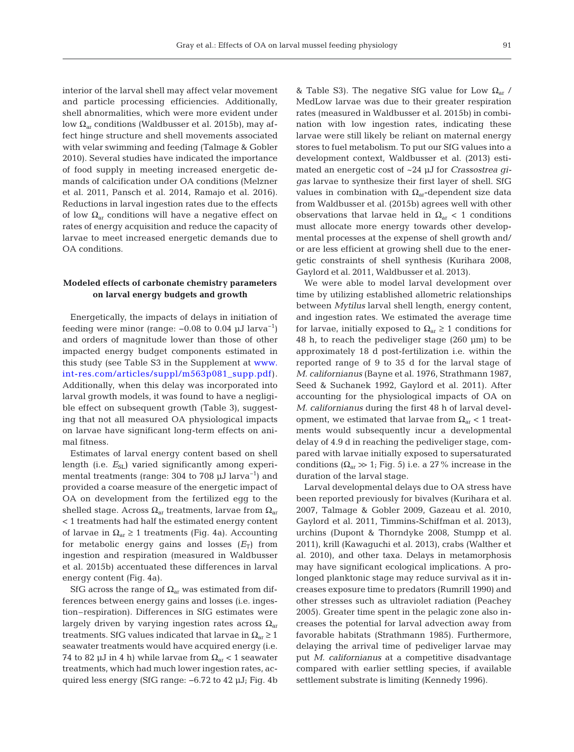interior of the larval shell may affect velar movement and particle processing efficiencies. Additionally, shell abnormalities, which were more evident under low  $\Omega_{\rm ar}$  conditions (Waldbusser et al. 2015b), may affect hinge structure and shell movements associated with velar swimming and feeding (Talmage & Gobler 2010). Several studies have indicated the importance of food supply in meeting increased energetic de mands of calcification under OA conditions (Melzner et al. 2011, Pansch et al. 2014, Ramajo et al. 2016). Reductions in larval ingestion rates due to the effects of low  $\Omega_{\text{ar}}$  conditions will have a negative effect on rates of energy acquisition and reduce the capacity of larvae to meet increased energetic demands due to OA conditions.

## **Modeled effects of carbonate chemistry parameters on larval energy budgets and growth**

Energetically, the impacts of delays in initiation of feeding were minor (range:  $-0.08$  to 0.04  $\mu$ J larva<sup>-1</sup>) and orders of magnitude lower than those of other im pacted energy budget components estimated in this study (see Table S3 in the Supplement a[t www.](http://www.int-res.com/articles/suppl/m563p081_supp.pdf) int-res.com/articles/suppl/m563p081\_supp.pdf). Additionally, when this delay was incorporated into larval growth models, it was found to have a negligible effect on subsequent growth (Table 3), suggesting that not all measured OA physiological impacts on larvae have significant long-term effects on animal fitness.

Estimates of larval energy content based on shell length (i.e.  $E_{SL}$ ) varied significantly among experimental treatments (range:  $304$  to  $708 \mu J$  larva<sup>-1</sup>) and provided a coarse measure of the energetic impact of OA on development from the fertilized egg to the shelled stage. Across  $\Omega_{\rm ar}$  treatments, larvae from  $\Omega_{\rm ar}$ < 1 treatments had half the estimated energy content of larvae in  $\Omega_{\text{ar}} \geq 1$  treatments (Fig. 4a). Accounting for metabolic energy gains and losses  $(E_T)$  from ingestion and respiration (measured in Waldbusser et al. 2015b) accentuated these differences in larval energy content (Fig. 4a).

SfG across the range of  $\Omega_{\text{ar}}$  was estimated from differences between energy gains and losses (i.e. ingestion–respiration). Differences in SfG estimates were largely driven by varying ingestion rates across  $\Omega_{\text{ar}}$ treatments. SfG values indicated that larvae in  $\Omega_{ar} \geq 1$ seawater treatments would have acquired energy (i.e. 74 to 82 μJ in 4 h) while larvae from  $\Omega_{\text{ar}}$  < 1 seawater treatments, which had much lower ingestion rates, acquired less energy (SfG range: −6.72 to 42 μJ; Fig. 4b & Table S3). The negative SfG value for Low  $\Omega_{\text{ar}}$  / MedLow larvae was due to their greater respiration rates (measured in Waldbusser et al. 2015b) in combination with low ingestion rates, indicating these larvae were still likely be reliant on maternal energy stores to fuel metabolism. To put our SfG values into a development context, Waldbusser et al. (2013) estimated an energetic cost of ~24 μJ for *Crassostrea gigas* larvae to synthesize their first layer of shell. SfG values in combination with  $\Omega_{ar}$ -dependent size data from Waldbusser et al. (2015b) agrees well with other observations that larvae held in  $\Omega_{\text{ar}}$  < 1 conditions must allocate more energy towards other developmental processes at the expense of shell growth and/ or are less efficient at growing shell due to the energetic constraints of shell synthesis (Kurihara 2008, Gaylord et al. 2011, Waldbusser et al. 2013).

We were able to model larval development over time by utilizing established allometric relationships between *Mytilus* larval shell length, energy content, and ingestion rates. We estimated the average time for larvae, initially exposed to  $\Omega_{ar} \geq 1$  conditions for 48 h, to reach the pediveliger stage (260 μm) to be ap proximately 18 d post-fertilization i.e. within the reported range of 9 to 35 d for the larval stage of *M. californianus* (Bayne et al. 1976, Strathmann 1987, Seed & Suchanek 1992, Gaylord et al. 2011). After accounting for the physiological impacts of OA on *M. californianus* during the first 48 h of larval development, we estimated that larvae from  $\Omega_{\rm ar}$  < 1 treatments would subsequently incur a developmental delay of 4.9 d in reaching the pediveliger stage, compared with larvae initially exposed to supersaturated conditions ( $\Omega_{\rm ar} \gg 1$ ; Fig. 5) i.e. a 27% increase in the duration of the larval stage.

Larval developmental delays due to OA stress have been reported previously for bivalves (Kurihara et al. 2007, Talmage & Gobler 2009, Gazeau et al. 2010, Gaylord et al. 2011, Timmins-Schiffman et al. 2013), urchins (Dupont & Thorndyke 2008, Stumpp et al. 2011), krill (Kawaguchi et al. 2013), crabs (Walther et al. 2010), and other taxa. Delays in metamorphosis may have significant ecological implications. A prolonged planktonic stage may reduce survival as it increases exposure time to predators (Rumrill 1990) and other stresses such as ultraviolet radiation (Peachey 2005). Greater time spent in the pelagic zone also increases the potential for larval advection away from favorable habitats (Strathmann 1985). Furthermore, delaying the arrival time of pediveliger larvae may put *M. californianus* at a competitive disadvantage compared with earlier settling species, if available settlement substrate is limiting (Kennedy 1996).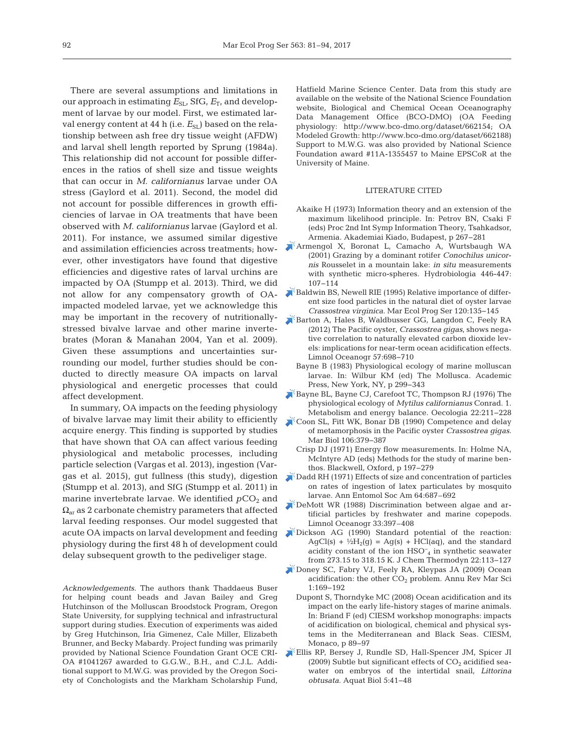There are several assumptions and limitations in our approach in estimating  $E_{SL}$ , SfG,  $E_T$ , and development of larvae by our model. First, we estimated larval energy content at 44 h (i.e.  $E_{SL}$ ) based on the relationship between ash free dry tissue weight (AFDW) and larval shell length reported by Sprung (1984a). This relationship did not account for possible differences in the ratios of shell size and tissue weights that can occur in *M. californianus* larvae under OA stress (Gaylord et al. 2011). Second, the model did not account for possible differences in growth efficiencies of larvae in OA treatments that have been observed with *M. californianus* larvae (Gaylord et al. 2011). For instance, we assumed similar digestive and assimilation efficiencies across treatments; however, other investigators have found that digestive efficiencies and digestive rates of larval urchins are impacted by OA (Stumpp et al. 2013). Third, we did not allow for any compensatory growth of OAimpacted modeled larvae, yet we acknowledge this may be important in the recovery of nutritionallystressed bivalve larvae and other marine invertebrates (Moran & Manahan 2004, Yan et al. 2009). Given these assumptions and uncertainties surrounding our model, further studies should be conducted to directly measure OA impacts on larval physiological and energetic processes that could affect development.

In summary, OA impacts on the feeding physiology of bivalve larvae may limit their ability to efficiently acquire energy. This finding is supported by studies that have shown that OA can affect various feeding physiological and metabolic processes, including particle selection (Vargas et al. 2013), ingestion (Vargas et al. 2015), gut fullness (this study), digestion (Stumpp et al. 2013), and SfG (Stumpp et al. 2011) in marine invertebrate larvae. We identified  $pCO<sub>2</sub>$  and  $\Omega_{\rm ar}$  as 2 carbonate chemistry parameters that affected larval feeding responses. Our model suggested that acute OA impacts on larval development and feeding physiology during the first 48 h of development could delay subsequent growth to the pediveliger stage.

*Acknowledgements*. The authors thank Thaddaeus Buser for helping count beads and Javan Bailey and Greg Hutchinson of the Molluscan Broodstock Program, Oregon State University, for supplying technical and infrastructural support during studies. Execution of experiments was aided by Greg Hutchinson, Iria Gimenez, Cale Miller, Elizabeth Brunner, and Becky Mabardy. Project funding was primarily provided by National Science Foundation Grant OCE CRI-OA #1041267 awarded to G.G.W., B.H., and C.J.L. Additional support to M.W.G. was provided by the Oregon Society of Conchologists and the Markham Scholarship Fund,

Hatfield Marine Science Center. Data from this study are available on the website of the National Science Foundation website, Biological and Chemical Ocean Oceanography Data Management Office (BCO-DMO) (OA Feeding physiology: http://www. bco-dmo.org/dataset/662154; OA Modeled Growth: http://www.bco-dmo.org/dataset/662188) Support to M.W.G. was also provided by National Science Foundation award #11A-1355457 to Maine EPSCoR at the University of Maine.

#### LITERATURE CITED

- Akaike H (1973) Information theory and an extension of the maximum likelihood principle. In: Petrov BN, Csaki F (eds) Proc 2nd Int Symp Information Theory, Tsahkadsor, Armenia. Akademiai Kiado, Budapest, p 267−281
- [Armengol X, Boronat L, Camacho A, Wurtsbaugh WA](https://doi.org/10.1023/A%3A1017591004514) (2001) Grazing by a dominant rotifer *Conochilus unicornis* Rousselet in a mountain lake: *in situ* measurements with synthetic micro-spheres. Hydrobiologia 446-447: 107−114
- $\blacktriangleright$  [Baldwin BS, Newell RIE \(1995\) Relative importance of differ](https://doi.org/10.3354/meps120135)ent size food particles in the natural diet of oyster larvae *Crassostrea virginica*. Mar Ecol Prog Ser 120: 135−145
- [Barton A, Hales B, Waldbusser GG, Langdon C, Feely RA](https://doi.org/10.4319/lo.2012.57.3.0698) (2012) The Pacific oyster, *Crassostrea gigas*, shows negative correlation to naturally elevated carbon dioxide levels: implications for near-term ocean acidification effects. Limnol Oceanogr 57:698-710
	- Bayne B (1983) Physiological ecology of marine molluscan larvae. In: Wilbur KM (ed) The Mollusca. Academic Press, New York, NY, p 299−343
- [Bayne BL, Bayne CJ, Carefoot TC, Thompson RJ \(1976\) The](https://doi.org/10.1007/BF00344793) physiological ecology of *Mytilus californianus* Conrad. 1. Metabolism and energy balance. Oecologia 22:211−228
- [Coon SL, Fitt WK, Bonar DB \(1990\) Competence and delay](https://doi.org/10.1007/BF01344316) of metamorphosis in the Pacific oyster *Crassostrea gigas*. Mar Biol 106:379-387
	- Crisp DJ (1971) Energy flow measurements. In: Holme NA, McIntyre AD (eds) Methods for the study of marine benthos. Blackwell, Oxford, p 197−279
- [Dadd RH \(1971\) Effects of size and concentration of particles](https://doi.org/10.1093/aesa/64.3.687) on rates of ingestion of latex particulates by mosquito larvae. Ann Entomol Soc Am 64:687–692
- [DeMott WR \(1988\) Discrimination between algae and ar](https://doi.org/10.4319/lo.1988.33.3.0397)  tificial particles by freshwater and marine copepods. Limnol Oceanogr 33:397–408
- [Dickson AG \(1990\) Standard potential of the reaction:](https://doi.org/10.1016/0021-9614(90)90074-Z)   $AgCl(s) + \frac{1}{2}H_2(g) = Ag(s) + HCl(aq)$ , and the standard acidity constant of the ion HSO− <sup>4</sup> in synthetic seawater from 273.15 to 318.15 K. J Chem Thermodyn 22: 113−127
- [Doney SC, Fabry VJ, Feely RA, Kleypas JA \(2009\) Ocean](http://www.ncbi.nlm.nih.gov/entrez/query.fcgi?cmd=Retrieve&db=PubMed&list_uids=21141034&dopt=Abstract) acidification: the other  $CO<sub>2</sub>$  problem. Annu Rev Mar Sci 1: 169−192
	- Dupont S, Thorndyke MC (2008) Ocean acidification and its impact on the early life-history stages of marine animals. In: Briand F (ed) CIESM workshop monographs: impacts of acidification on biological, chemical and physical systems in the Mediterranean and Black Seas. CIESM, Monaco, p 89−97
- [Ellis RP, Bersey J, Rundle SD, Hall-Spencer JM, Spicer JI](https://doi.org/10.3354/ab00118) (2009) Subtle but significant effects of  $CO<sub>2</sub>$  acidified seawater on embryos of the intertidal snail, *Littorina obtusata*. Aquat Biol 5: 41−48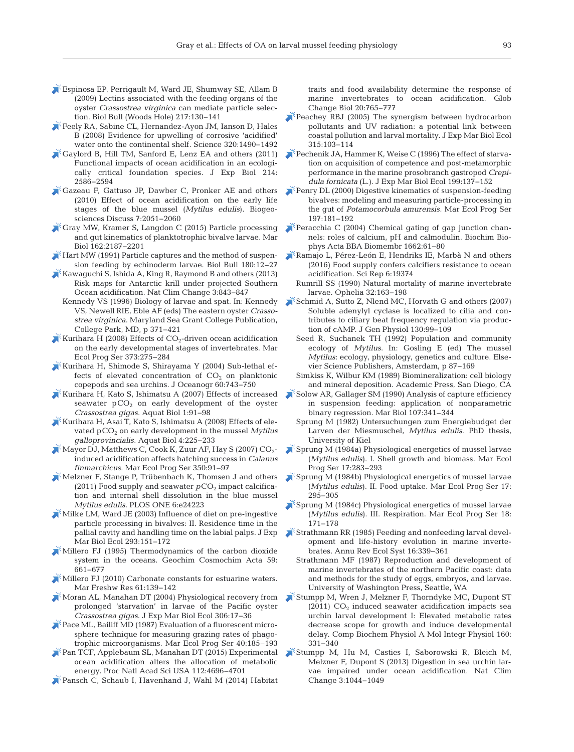- [Espinosa EP, Perrigault M, Ward JE, Shumway SE, Allam B](https://doi.org/10.1086/BBLv217n2p130) (2009) Lectins associated with the feeding organs of the oyster *Crassostrea virginica* can mediate particle selection. Biol Bull (Woods Hole) 217: 130−141
- [Feely RA, Sabine CL, Hernandez-Ayon JM, Ianson D, Hales](https://doi.org/10.1126/science.1155676) B (2008) Evidence for upwelling of corrosive 'acidified' water onto the continental shelf. Science 320:1490−1492
- [Gaylord B, Hill TM, Sanford E, Lenz EA and others \(2011\)](https://doi.org/10.1242/jeb.055939) Functional impacts of ocean acidification in an ecologically critical foundation species. J Exp Biol 214: 2586−2594
- [Gazeau F, Gattuso JP, Dawber C, Pronker AE and others](https://doi.org/10.5194/bg-7-2051-2010) (2010) Effect of ocean acidification on the early life stages of the blue mussel (*Mytilus edulis*). Biogeosciences Discuss 7: 2051−2060
- [Gray MW, Kramer S, Langdon C \(2015\) Particle processing](https://doi.org/10.1007/s00227-015-2746-1) and gut kinematics of planktotrophic bivalve larvae. Mar Biol 162:2187-2201
- [Hart MW \(1991\) Particle captures and the method of suspen](https://doi.org/10.2307/1542425)sion feeding by echinoderm larvae. Biol Bull 180:12–27
- [Kawaguchi S, Ishida A, King R, Raymond B and others \(2013\)](https://doi.org/10.1038/nclimate1937) Risk maps for Antarctic krill under projected Southern Ocean acidification. Nat Clim Change 3: 843−847
	- Kennedy VS (1996) Biology of larvae and spat. In: Kennedy VS, Newell RIE, Eble AF (eds) The eastern oyster *Crasso strea virginica*. Maryland Sea Grant College Publication, College Park, MD, p 371−421
- Kurihara H (2008) Effects of  $CO<sub>2</sub>$ -driven ocean acidification on the early developmental stages of invertebrates. Mar Ecol Prog Ser 373: 275−284
- [Kurihara H, Shimode S, Shirayama Y \(2004\) Sub-lethal ef](https://doi.org/10.1007/s10872-004-5766-x)  fects of elevated concentration of  $CO<sub>2</sub>$  on planktonic copepods and sea urchins. J Oceanogr 60:743-750
- [Kurihara H, Kato S, Ishimatsu A \(2007\) Effects of increased](https://doi.org/10.3354/ab00009) seawater  $pCO<sub>2</sub>$  on early development of the oyster *Crassostrea gigas.* Aquat Biol 1: 91−98
- [Kurihara H, Asai T, Kato S, Ishimatsu A \(2008\) Effects of ele](https://doi.org/10.3354/ab00109)vated pCO<sub>2</sub> on early development in the mussel *Mytilus galloprovincialis.* Aquat Biol 4: 225−233
- Mayor DJ, Matthews C, Cook K, Zuur AF, Hay S (2007) CO<sub>2</sub>induced acidification affects hatching success in *Calanus finmarchicus.* Mar Ecol Prog Ser 350:91-97
- [Melzner F, Stange P, Trübenbach K, Thomsen J and others](https://doi.org/10.1371/journal.pone.0024223) (2011) Food supply and seawater  $pCO<sub>2</sub>$  impact calcification and internal shell dissolution in the blue mussel *Mytilus edulis.* PLOS ONE 6:e24223
- [Milke LM, Ward JE \(2003\) Influence of diet on pre-ingestive](https://doi.org/10.1016/S0022-0981(03)00217-X) particle processing in bivalves: II. Residence time in the pallial cavity and handling time on the labial palps. J Exp Mar Biol Ecol 293: 151−172
- [Millero FJ \(1995\) Thermodynamics of the carbon dioxide](https://doi.org/10.1016/0016-7037(94)00354-O) system in the oceans. Geochim Cosmochim Acta 59: 661−677
- [Millero FJ \(2010\) Carbonate constants for estuarine waters.](https://doi.org/10.1071/MF09254) Mar Freshw Res 61:139–142
- [Moran AL, Manahan DT \(2004\) Physiological recovery from](https://doi.org/10.1016/j.jembe.2003.12.021) prolonged 'starvation' in larvae of the Pacific oyster *Crassostrea gigas*. J Exp Mar Biol Ecol 306: 17−36
- Pace ML, Bailiff MD (1987) Evaluation of a fluorescent microsphere technique for measuring grazing rates of phagotrophic microorganisms. Mar Ecol Prog Ser 40:185–193
- [Pan TCF, Applebaum SL, Manahan DT \(2015\) Experimental](https://doi.org/10.1073/pnas.1416967112) ocean acidification alters the allocation of metabolic energy. Proc Natl Acad Sci USA 112:4696-4701
- [Pansch C, Schaub I, Havenhand J, Wahl M \(2014\) Habitat](https://doi.org/10.1111/gcb.12478)

traits and food availability determine the response of marine invertebrates to ocean acidification. Glob Change Biol 20: 765−777

- $\blacktriangleright$  [Peachey RBJ \(2005\) The synergism between hydrocarbon](https://doi.org/10.1016/j.jembe.2004.09.009) pollutants and UV radiation: a potential link between coastal pollution and larval mortality. J Exp Mar Biol Ecol 315: 103−114
- [Pechenik JA, Hammer K, Weise C \(1996\) The effect of starva](https://doi.org/10.1016/0022-0981(96)00010-X)tion on acquisition of competence and post-metamorphic performance in the marine prosobranch gastropod *Crepi dula fornicata* (L.). J Exp Mar Biol Ecol 199:137-152
- [Penry DL \(2000\) Digestive kinematics of suspension-feeding](https://doi.org/10.3354/meps197181) bivalves:modeling and measuring particle-processing in the gut of *Potamocorbula amurensis.* Mar Ecol Prog Ser 197: 181−192
- [Peracchia C \(2004\) Chemical gating of gap junction chan](https://doi.org/10.1016/j.bbamem.2003.10.020)nels: roles of calcium, pH and calmodulin. Biochim Biophys Acta BBA Biomembr 1662: 61−80
- [Ramajo L, Pérez-León E, Hendriks IE, Marbà N and others](https://doi.org/10.1038/srep19374) (2016) Food supply confers calcifiers resistance to ocean acidification. Sci Rep 6: 19374
- Rumrill SS (1990) Natural mortality of marine invertebrate larvae. Ophelia 32: 163−198
- [Schmid A, Sutto Z, Nlend MC, Horvath G and others \(2007\)](https://doi.org/10.1085/jgp.200709784) Soluble adenylyl cyclase is localized to cilia and contributes to ciliary beat frequency regulation via production of cAMP. J Gen Physiol 130:99-109
	- Seed R, Suchanek TH (1992) Population and community ecology of *Mytilus*. In:Gosling E (ed) The mussel *Mytilus*: ecology, physiology, genetics and culture. Elsevier Science Publishers, Amsterdam, p 87−169
	- Simkiss K, Wilbur KM (1989) Biomineralization: cell biology and mineral deposition. Academic Press, San Diego, CA
- [Solow AR, Gallager SM \(1990\) Analysis of capture efficiency](https://doi.org/10.1007/BF01319834) in suspension feeding: application of nonparametric binary regression. Mar Biol 107:341–344
	- Sprung M (1982) Untersuchungen zum Energiebudget der Larven der Miesmuschel, *Mytilus edulis*. PhD thesis, University of Kiel
- [Sprung M \(1984a\) Physiological energetics of mussel larvae](https://doi.org/10.3354/meps017283) (*Mytilus edulis*). I. Shell growth and biomass. Mar Ecol Prog Ser 17:283-293
- [Sprung M \(1984b\) Physiological energetics of mussel larvae](https://doi.org/10.3354/meps017295) (*Mytilus edulis*). II. Food uptake. Mar Ecol Prog Ser 17: 295−305
- [Sprung M \(1984c\) Physiological energetics of mussel larvae](https://doi.org/10.3354/meps018171) (*Mytilus edulis*). III. Respiration. Mar Ecol Prog Ser 18: 171−178
- [Strathmann RR \(1985\) Feeding and nonfeeding larval devel](https://doi.org/10.1146/annurev.es.16.110185.002011)opment and life-history evolution in marine invertebrates. Annu Rev Ecol Syst 16: 339−361
	- Strathmann MF (1987) Reproduction and development of marine invertebrates of the northern Pacific coast: data and methods for the study of eggs, embryos, and larvae. University of Washington Press, Seattle, WA
- [Stumpp M, Wren J, Melzner F, Thorndyke MC, Dupont ST](https://doi.org/10.1016/j.cbpa.2011.06.022)  $(2011)$  CO<sub>2</sub> induced seawater acidification impacts sea urchin larval development I: Elevated metabolic rates decrease scope for growth and induce developmental delay. Comp Biochem Physiol A Mol Integr Physiol 160: 331−340
- [Stumpp M, Hu M, Casties I, Saborowski R, Bleich M,](https://doi.org/10.1038/nclimate2028) Melzner F, Dupont S (2013) Digestion in sea urchin larvae impaired under ocean acidification. Nat Clim Change 3: 1044−1049